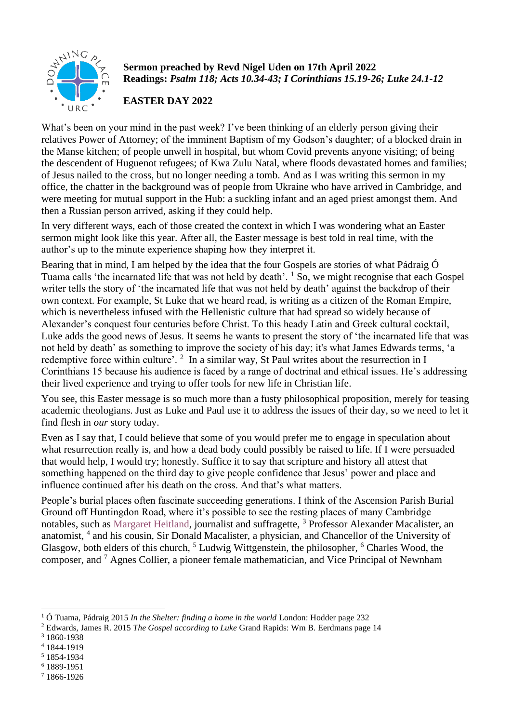

**Sermon preached by Revd Nigel Uden on 17th April 2022 Readings:** *Psalm 118; Acts 10.34-43; I Corinthians 15.19-26; Luke 24.1-12*

## **EASTER DAY 2022**

What's been on your mind in the past week? I've been thinking of an elderly person giving their relatives Power of Attorney; of the imminent Baptism of my Godson's daughter; of a blocked drain in the Manse kitchen; of people unwell in hospital, but whom Covid prevents anyone visiting; of being the descendent of Huguenot refugees; of Kwa Zulu Natal, where floods devastated homes and families; of Jesus nailed to the cross, but no longer needing a tomb. And as I was writing this sermon in my office, the chatter in the background was of people from Ukraine who have arrived in Cambridge, and were meeting for mutual support in the Hub: a suckling infant and an aged priest amongst them. And then a Russian person arrived, asking if they could help.

In very different ways, each of those created the context in which I was wondering what an Easter sermon might look like this year. After all, the Easter message is best told in real time, with the author's up to the minute experience shaping how they interpret it.

Bearing that in mind, I am helped by the idea that the four Gospels are stories of what Pádraig Ó Tuama calls 'the incarnated life that was not held by death'. <sup>1</sup> So, we might recognise that each Gospel writer tells the story of 'the incarnated life that was not held by death' against the backdrop of their own context. For example, St Luke that we heard read, is writing as a citizen of the Roman Empire, which is nevertheless infused with the Hellenistic culture that had spread so widely because of Alexander's conquest four centuries before Christ. To this heady Latin and Greek cultural cocktail, Luke adds the good news of Jesus. It seems he wants to present the story of 'the incarnated life that was not held by death' as something to improve the society of his day; it's what James Edwards terms, 'a redemptive force within culture'. <sup>2</sup> In a similar way, St Paul writes about the resurrection in I Corinthians 15 because his audience is faced by a range of doctrinal and ethical issues. He's addressing their lived experience and trying to offer tools for new life in Christian life.

You see, this Easter message is so much more than a fusty philosophical proposition, merely for teasing academic theologians. Just as Luke and Paul use it to address the issues of their day, so we need to let it find flesh in *our* story today.

Even as I say that, I could believe that some of you would prefer me to engage in speculation about what resurrection really is, and how a dead body could possibly be raised to life. If I were persuaded that would help, I would try; honestly. Suffice it to say that scripture and history all attest that something happened on the third day to give people confidence that Jesus' power and place and influence continued after his death on the cross. And that's what matters.

People's burial places often fascinate succeeding generations. I think of the Ascension Parish Burial Ground off Huntingdon Road, where it's possible to see the resting places of many Cambridge notables, such as [Margaret Heitland,](https://en.wikipedia.org/wiki/Margaret_Heitland) journalist and suffragette, <sup>3</sup> Professor Alexander Macalister, an anatomist, <sup>4</sup> and his cousin, Sir Donald Macalister, a physician, and Chancellor of the University of Glasgow, both elders of this church,  $<sup>5</sup>$  Ludwig Wittgenstein, the philosopher,  $<sup>6</sup>$  Charles Wood, the</sup></sup> composer, and <sup>7</sup> Agnes Collier, a pioneer female mathematician, and Vice Principal of Newnham

<sup>1</sup> Ó Tuama, Pádraig 2015 *In the Shelter: finding a home in the world* London: Hodder page 232

<sup>2</sup> Edwards, James R. 2015 *The Gospel according to Luke* Grand Rapids: Wm B. Eerdmans page 14

<sup>3</sup> 1860-1938

<sup>4</sup> 1844-1919

<sup>5</sup> 1854-1934

<sup>6</sup> 1889-1951

<sup>7</sup> 1866-1926